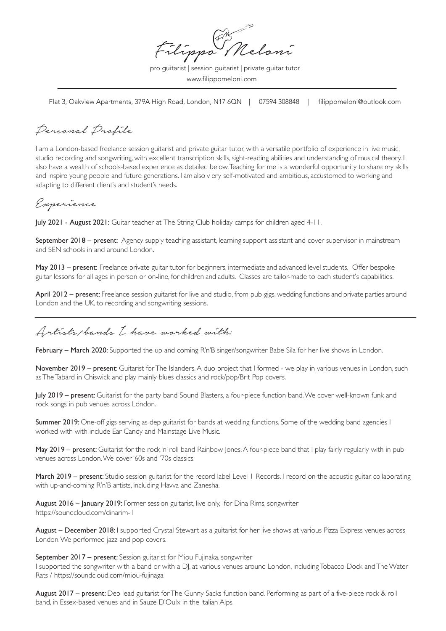Filippo Meloni

pro guitarist | session guitarist | private guitar tutor www.filippomeloni.com

Flat 3, Oakview Apartments, 379A High Road, London, N17 6QN | 07594 308848 | filippomeloni@outlook.com

Personal Profile

I am a London-based freelance session guitarist and private guitar tutor, with a versatile portfolio of experience in live music, studio recording and songwriting, with excellent transcription skills, sight-reading abilities and understanding of musical theory. I also have a wealth of schools-based experience as detailed below. Teaching for me is a wonderful opportunity to share my skills and inspire young people and future generations. I am also v ery self-motivated and ambitious, accustomed to working and adapting to different client's and student's needs.

## Experience

July 2021 - August 2021: Guitar teacher at The String Club holiday camps for children aged 4-11.

September 2018 – present: Agency supply teaching assistant, learning support assistant and cover supervisor in mainstream and SEN schools in and around London.

May 2013 – present: Freelance private guitar tutor for beginners, intermediate and advanced level students. Offer bespoke guitar lessons for all ages in person or on-line, for children and adults. Classes are tailor-made to each student's capabilities.

April 2012 – present: Freelance session guitarist for live and studio, from pub gigs, wedding functions and private parties around London and the UK, to recording and songwriting sessions.

Artists/bands I have worked with:

February - March 2020: Supported the up and coming R'n'B singer/songwriter Babe Sila for her live shows in London.

November 2019 – present: Guitarist for The Islanders. A duo project that I formed - we play in various venues in London, such as The Tabard in Chiswick and play mainly blues classics and rock/pop/Brit Pop covers.

July 2019 – present: Guitarist for the party band Sound Blasters, a four-piece function band. We cover well-known funk and rock songs in pub venues across London.

Summer 2019: One-off gigs serving as dep guitarist for bands at wedding functions. Some of the wedding band agencies I worked with with include Ear Candy and Mainstage Live Music.

May 2019 – present: Guitarist for the rock 'n' roll band Rainbow Jones. A four-piece band that I play fairly regularly with in pub venues across London. We cover '60s and '70s classics.

March 2019 – present: Studio session guitarist for the record label Level 1 Records. I record on the acoustic guitar, collaborating with up-and-coming R'n'B artists, including Havva and Zanesha.

August 2016 – January 2019: Former session guitarist, live only, for Dina Rims, songwriter https://soundcloud.com/dinarim-1

August – December 2018: I supported Crystal Stewart as a guitarist for her live shows at various Pizza Express venues across London. We performed jazz and pop covers.

September 2017 – present: Session guitarist for Miou Fujinaka, songwriter

I supported the songwriter with a band or with a DJ, at various venues around London, including Tobacco Dock and The Water Rats / https://soundcloud.com/miou-fujinaga

August 2017 – present: Dep lead guitarist for The Gunny Sacks function band. Performing as part of a five-piece rock & roll band, in Essex-based venues and in Sauze D'Oulx in the Italian Alps.